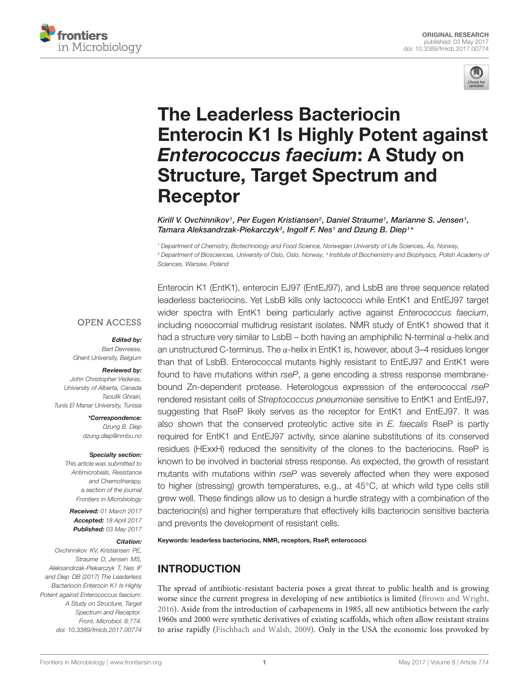



# The Leaderless Bacteriocin [Enterocin K1 Is Highly Potent against](http://journal.frontiersin.org/article/10.3389/fmicb.2017.00774/abstract) Enterococcus faecium: A Study on Structure, Target Spectrum and Receptor

[Kirill V. Ovchinnikov](http://loop.frontiersin.org/people/418063/overview)1, Per Eugen Kristiansen<sup>2</sup>, Daniel Straume1, Marianne S. Jensen1, [Tamara Aleksandrzak-Piekarczyk](http://loop.frontiersin.org/people/420300/overview)<sup>3</sup>, Ingolf F. Nes<sup>1</sup> and [Dzung B. Diep](http://loop.frontiersin.org/people/418064/overview)<sup>1\*</sup>

<sup>1</sup> Department of Chemistry, Biotechnology and Food Science, Norwegian University of Life Sciences, Ås, Norway,  $^2$  Department of Biosciences, University of Oslo, Oslo, Norway,  $^3$  Institute of Biochemistry and Biophysics, Polish Academy oi Sciences, Warsaw, Poland

#### **OPEN ACCESS**

#### Edited by:

Bart Devreese Ghent University, Belgium

## Reviewed by:

John Christopher Vederas, University of Alberta, Canada Taoufik Ghrairi, Tunis El Manar University, Tunisia

> \*Correspondence: Dzung B. Diep dzung.diep@nmbu.no

#### Specialty section:

This article was submitted to Antimicrobials, Resistance and Chemotherapy, a section of the journal Frontiers in Microbiology

Received: 01 March 2017 Accepted: 18 April 2017 Published: 03 May 2017

#### Citation:

Ovchinnikov KV, Kristiansen PE, Straume D, Jensen MS, Aleksandrzak-Piekarczyk T, Nes IF and Diep DB (2017) The Leaderless Bacteriocin Enterocin K1 Is Highly Potent against Enterococcus faecium: A Study on Structure, Target Spectrum and Receptor. Front. Microbiol. 8:774. doi: [10.3389/fmicb.2017.00774](https://doi.org/10.3389/fmicb.2017.00774) Enterocin K1 (EntK1), enterocin EJ97 (EntEJ97), and LsbB are three sequence related leaderless bacteriocins. Yet LsbB kills only lactococci while EntK1 and EntEJ97 target wider spectra with EntK1 being particularly active against Enterococcus faecium, including nosocomial multidrug resistant isolates. NMR study of EntK1 showed that it had a structure very similar to LsbB – both having an amphiphilic N-terminal α-helix and an unstructured C-terminus. The  $\alpha$ -helix in EntK1 is, however, about 3–4 residues longer than that of LsbB. Enterococcal mutants highly resistant to EntEJ97 and EntK1 were found to have mutations within rseP, a gene encoding a stress response membranebound Zn-dependent protease. Heterologous expression of the enterococcal rseP rendered resistant cells of Streptococcus pneumoniae sensitive to EntK1 and EntEJ97, suggesting that RseP likely serves as the receptor for EntK1 and EntEJ97. It was also shown that the conserved proteolytic active site in E. faecalis RseP is partly required for EntK1 and EntEJ97 activity, since alanine substitutions of its conserved residues (HExxH) reduced the sensitivity of the clones to the bacteriocins. RseP is known to be involved in bacterial stress response. As expected, the growth of resistant mutants with mutations within rseP was severely affected when they were exposed to higher (stressing) growth temperatures, e.g., at 45◦C, at which wild type cells still grew well. These findings allow us to design a hurdle strategy with a combination of the bacteriocin(s) and higher temperature that effectively kills bacteriocin sensitive bacteria and prevents the development of resistant cells.

#### Keywords: leaderless bacteriocins, NMR, receptors, RseP, enterococci

### INTRODUCTION

The spread of antibiotic-resistant bacteria poses a great threat to public health and is growing worse since the current progress in developing of new antibiotics is limited [\(Brown and Wright,](#page-9-0) [2016\)](#page-9-0). Aside from the introduction of carbapenems in 1985, all new antibiotics between the early 1960s and 2000 were synthetic derivatives of existing scaffolds, which often allow resistant strains to arise rapidly [\(Fischbach and Walsh,](#page-9-1) [2009\)](#page-9-1). Only in the USA the economic loss provoked by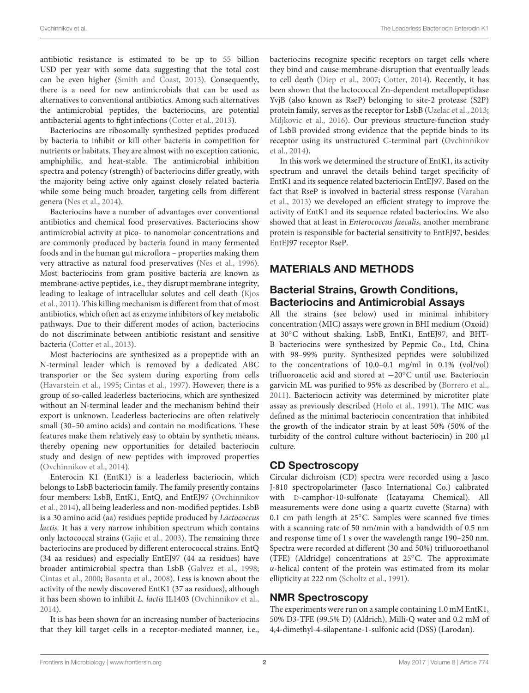antibiotic resistance is estimated to be up to 55 billion USD per year with some data suggesting that the total cost can be even higher [\(Smith and Coast,](#page-10-0) [2013\)](#page-10-0). Consequently, there is a need for new antimicrobials that can be used as alternatives to conventional antibiotics. Among such alternatives the antimicrobial peptides, the bacteriocins, are potential antibacterial agents to fight infections [\(Cotter et al.,](#page-9-2) [2013\)](#page-9-2).

Bacteriocins are ribosomally synthesized peptides produced by bacteria to inhibit or kill other bacteria in competition for nutrients or habitats. They are almost with no exception cationic, amphiphilic, and heat-stable. The antimicrobial inhibition spectra and potency (strength) of bacteriocins differ greatly, with the majority being active only against closely related bacteria while some being much broader, targeting cells from different genera [\(Nes et al.,](#page-10-1) [2014\)](#page-10-1).

Bacteriocins have a number of advantages over conventional antibiotics and chemical food preservatives. Bacteriocins show antimicrobial activity at pico- to nanomolar concentrations and are commonly produced by bacteria found in many fermented foods and in the human gut microflora – properties making them very attractive as natural food preservatives [\(Nes et al.,](#page-10-2) [1996\)](#page-10-2). Most bacteriocins from gram positive bacteria are known as membrane-active peptides, i.e., they disrupt membrane integrity, leading to leakage of intracellular solutes and cell death [\(Kjos](#page-10-3) [et al.,](#page-10-3) [2011\)](#page-10-3). This killing mechanism is different from that of most antibiotics, which often act as enzyme inhibitors of key metabolic pathways. Due to their different modes of action, bacteriocins do not discriminate between antibiotic resistant and sensitive bacteria [\(Cotter et al.,](#page-9-2) [2013\)](#page-9-2).

Most bacteriocins are synthesized as a propeptide with an N-terminal leader which is removed by a dedicated ABC transporter or the Sec system during exporting from cells [\(Havarstein et al.,](#page-10-4) [1995;](#page-10-4) [Cintas et al.,](#page-9-3) [1997\)](#page-9-3). However, there is a group of so-called leaderless bacteriocins, which are synthesized without an N-terminal leader and the mechanism behind their export is unknown. Leaderless bacteriocins are often relatively small (30–50 amino acids) and contain no modifications. These features make them relatively easy to obtain by synthetic means, thereby opening new opportunities for detailed bacteriocin study and design of new peptides with improved properties [\(Ovchinnikov et al.,](#page-10-5) [2014\)](#page-10-5).

Enterocin K1 (EntK1) is a leaderless bacteriocin, which belongs to LsbB bacteriocin family. The family presently contains four members: LsbB, EntK1, EntQ, and EntEJ97 [\(Ovchinnikov](#page-10-5) [et al.,](#page-10-5) [2014\)](#page-10-5), all being leaderless and non-modified peptides. LsbB is a 30 amino acid (aa) residues peptide produced by Lactococcus lactis. It has a very narrow inhibition spectrum which contains only lactococcal strains [\(Gajic et al.,](#page-10-6) [2003\)](#page-10-6). The remaining three bacteriocins are produced by different enterococcal strains. EntQ (34 aa residues) and especially EntEJ97 (44 aa residues) have broader antimicrobial spectra than LsbB [\(Galvez et al.,](#page-10-7) [1998;](#page-10-7) [Cintas et al.,](#page-9-4) [2000;](#page-9-4) [Basanta et al.,](#page-9-5) [2008\)](#page-9-5). Less is known about the activity of the newly discovered EntK1 (37 aa residues), although it has been shown to inhibit L. lactis IL1403 [\(Ovchinnikov et al.,](#page-10-5) [2014\)](#page-10-5).

It is has been shown for an increasing number of bacteriocins that they kill target cells in a receptor-mediated manner, i.e.,

bacteriocins recognize specific receptors on target cells where they bind and cause membrane-disruption that eventually leads to cell death [\(Diep et al.,](#page-9-6) [2007;](#page-9-6) [Cotter,](#page-9-7) [2014\)](#page-9-7). Recently, it has been shown that the lactococcal Zn-dependent metallopeptidase YvjB (also known as RseP) belonging to site-2 protease (S2P) protein family, serves as the receptor for LsbB [\(Uzelac et al.,](#page-10-8) [2013;](#page-10-8) [Miljkovic et al.,](#page-10-9) [2016\)](#page-10-9). Our previous structure-function study of LsbB provided strong evidence that the peptide binds to its receptor using its unstructured C-terminal part [\(Ovchinnikov](#page-10-5) [et al.,](#page-10-5) [2014\)](#page-10-5).

In this work we determined the structure of EntK1, its activity spectrum and unravel the details behind target specificity of EntK1 and its sequence related bacteriocin EntEJ97. Based on the fact that RseP is involved in bacterial stress response [\(Varahan](#page-10-10) [et al.,](#page-10-10) [2013\)](#page-10-10) we developed an efficient strategy to improve the activity of EntK1 and its sequence related bacteriocins. We also showed that at least in Enterococcus faecalis, another membrane protein is responsible for bacterial sensitivity to EntEJ97, besides EntEJ97 receptor RseP.

### MATERIALS AND METHODS

#### Bacterial Strains, Growth Conditions, Bacteriocins and Antimicrobial Assays

All the strains (see below) used in minimal inhibitory concentration (MIC) assays were grown in BHI medium (Oxoid) at 30◦C without shaking. LsbB, EntK1, EntEJ97, and BHT-B bacteriocins were synthesized by Pepmic Co., Ltd, China with 98–99% purity. Synthesized peptides were solubilized to the concentrations of 10.0–0.1 mg/ml in 0.1% (vol/vol) trifluoroacetic acid and stored at −20◦C until use. Bacteriocin garvicin ML was purified to 95% as described by [\(Borrero et al.,](#page-9-8) [2011\)](#page-9-8). Bacteriocin activity was determined by microtiter plate assay as previously described [\(Holo et al.,](#page-10-11) [1991\)](#page-10-11). The MIC was defined as the minimal bacteriocin concentration that inhibited the growth of the indicator strain by at least 50% (50% of the turbidity of the control culture without bacteriocin) in 200 µl culture.

### CD Spectroscopy

Circular dichroism (CD) spectra were recorded using a Jasco J-810 spectropolarimeter (Jasco International Co.) calibrated with D-camphor-10-sulfonate (Icatayama Chemical). All measurements were done using a quartz cuvette (Starna) with 0.1 cm path length at 25◦C. Samples were scanned five times with a scanning rate of 50 nm/min with a bandwidth of 0.5 nm and response time of 1 s over the wavelength range 190–250 nm. Spectra were recorded at different (30 and 50%) trifluoroethanol (TFE) (Aldridge) concentrations at 25◦C. The approximate α-helical content of the protein was estimated from its molar ellipticity at 222 nm [\(Scholtz et al.,](#page-10-12) [1991\)](#page-10-12).

### NMR Spectroscopy

The experiments were run on a sample containing 1.0 mM EntK1, 50% D3-TFE (99.5% D) (Aldrich), Milli-Q water and 0.2 mM of 4,4-dimethyl-4-silapentane-1-sulfonic acid (DSS) (Larodan).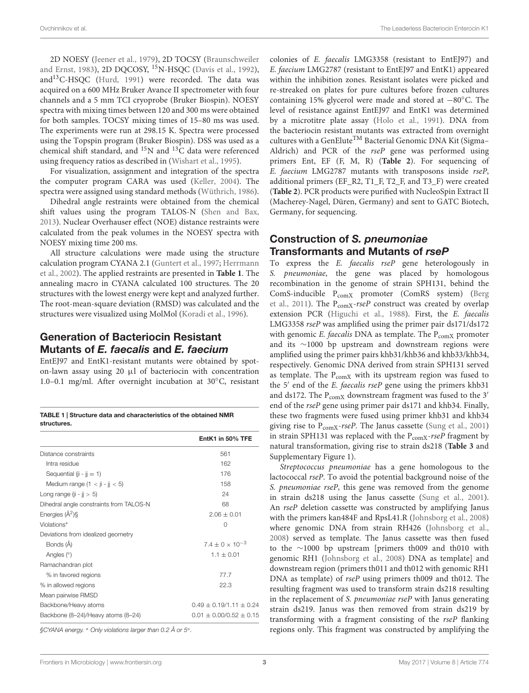2D NOESY [\(Jeener et al.,](#page-10-13) [1979\)](#page-10-13), 2D TOCSY [\(Braunschweiler](#page-9-9) [and Ernst,](#page-9-9) [1983\)](#page-9-9), 2D DQCOSY, <sup>15</sup>N-HSQC [\(Davis et al.,](#page-9-10) [1992\)](#page-9-10), and<sup>13</sup>C-HSQC [\(Hurd,](#page-10-14) [1991\)](#page-10-14) were recorded. The data was acquired on a 600 MHz Bruker Avance II spectrometer with four channels and a 5 mm TCI cryoprobe (Bruker Biospin). NOESY spectra with mixing times between 120 and 300 ms were obtained for both samples. TOCSY mixing times of 15–80 ms was used. The experiments were run at 298.15 K. Spectra were processed using the Topspin program (Bruker Biospin). DSS was used as a chemical shift standard, and <sup>15</sup>N and <sup>13</sup>C data were referenced using frequency ratios as described in [\(Wishart et al.,](#page-11-0) [1995\)](#page-11-0).

For visualization, assignment and integration of the spectra the computer program CARA was used [\(Keller,](#page-10-15) [2004\)](#page-10-15). The spectra were assigned using standard methods [\(Wüthrich,](#page-11-1) [1986\)](#page-11-1).

Dihedral angle restraints were obtained from the chemical shift values using the program TALOS-N [\(Shen and Bax,](#page-10-16) [2013\)](#page-10-16). Nuclear Overhauser effect (NOE) distance restraints were calculated from the peak volumes in the NOESY spectra with NOESY mixing time 200 ms.

All structure calculations were made using the structure calculation program CYANA 2.1 [\(Guntert et al.,](#page-10-17) [1997;](#page-10-17) [Herrmann](#page-10-18) [et al.,](#page-10-18) [2002\)](#page-10-18). The applied restraints are presented in **[Table 1](#page-2-0)**. The annealing macro in CYANA calculated 100 structures. The 20 structures with the lowest energy were kept and analyzed further. The root-mean-square deviation (RMSD) was calculated and the structures were visualized using MolMol [\(Koradi et al.,](#page-10-19) [1996\)](#page-10-19).

### Generation of Bacteriocin Resistant Mutants of E. faecalis and E. faecium

EntEJ97 and EntK1-resistant mutants were obtained by spoton-lawn assay using 20  $\mu$ l of bacteriocin with concentration 1.0–0.1 mg/ml. After overnight incubation at 30◦C, resistant

<span id="page-2-0"></span>TABLE 1 | Structure data and characteristics of the obtained NMR structures.

|                                         | EntK1 in 50% TFE              |
|-----------------------------------------|-------------------------------|
| Distance constraints                    | 561                           |
| Intra residue                           | 162                           |
| Sequential ( $ii - ii = 1$ )            | 176                           |
| Medium range $(1 < i$ i - $i < 5$ )     | 158                           |
| Long range ( $ii - ii > 5$ )            | 24                            |
| Dihedral angle constraints from TALOS-N | 68                            |
| Energies $(\AA^2)$                      | $2.06 \pm 0.01$               |
| Violations*                             | 0                             |
| Deviations from idealized geometry      |                               |
| Bonds (Å)                               | $7.4 + 0 \times 10^{-3}$      |
| Angles $(°)$                            | $1.1 + 0.01$                  |
| Ramachandran plot                       |                               |
| % in favored regions                    | 77.7                          |
| % in allowed regions                    | 22.3                          |
| Mean pairwise RMSD                      |                               |
| Backbone/Heavy atoms                    | $0.49 \pm 0.19/1.11 \pm 0.24$ |
| Backbone (8-24)/Heavy atoms (8-24)      | $0.01 \pm 0.00/0.52 \pm 0.15$ |

§CYANA energy. <sup>∗</sup> Only violations larger than 0.2 Å or 5◦ .

colonies of E. faecalis LMG3358 (resistant to EntEJ97) and E. faecium LMG2787 (resistant to EntEJ97 and EntK1) appeared within the inhibition zones. Resistant isolates were picked and re-streaked on plates for pure cultures before frozen cultures containing 15% glycerol were made and stored at −80◦C. The level of resistance against EntEJ97 and EntK1 was determined by a microtitre plate assay [\(Holo et al.,](#page-10-11) [1991\)](#page-10-11). DNA from the bacteriocin resistant mutants was extracted from overnight cultures with a GenElute<sup>TM</sup> Bacterial Genomic DNA Kit (Sigma-Aldrich) and PCR of the rseP gene was performed using primers Ent, EF (F, M, R) (**[Table 2](#page-3-0)**). For sequencing of E. faecium LMG2787 mutants with transposons inside rseP, additional primers (EF\_R2, T1\_F, T2\_F, and T3\_F) were created (**[Table 2](#page-3-0)**). PCR products were purified with NucleoSpin Extract II (Macherey-Nagel, Düren, Germany) and sent to GATC Biotech, Germany, for sequencing.

### Construction of S. pneumoniae Transformants and Mutants of rseP

To express the E. faecalis rseP gene heterologously in S. pneumoniae, the gene was placed by homologous recombination in the genome of strain SPH131, behind the ComS-inducible P<sub>comX</sub> promoter (ComRS system) [\(Berg](#page-9-11) [et al.,](#page-9-11) [2011\)](#page-9-11). The  $P_{\text{comX}}$ -rseP construct was created by overlap extension PCR [\(Higuchi et al.,](#page-10-20) [1988\)](#page-10-20). First, the E. faecalis LMG3358 rseP was amplified using the primer pair ds171/ds172 with genomic E. faecalis DNA as template. The  $P_{\text{comX}}$  promoter and its ∼1000 bp upstream and downstream regions were amplified using the primer pairs khb31/khb36 and khb33/khb34, respectively. Genomic DNA derived from strain SPH131 served as template. The  $P_{\text{comX}}$  with its upstream region was fused to the 5' end of the E. faecalis rseP gene using the primers khb31 and ds172. The  $P_{\text{comX}}$  downstream fragment was fused to the 3<sup>'</sup> end of the rseP gene using primer pair ds171 and khb34. Finally, these two fragments were fused using primer khb31 and khb34 giving rise to  $P_{\text{comX}}$ -rseP. The Janus cassette [\(Sung et al.,](#page-10-21) [2001\)](#page-10-21) in strain SPH131 was replaced with the  $P_{\text{comX}}$ -rseP fragment by natural transformation, giving rise to strain ds218 (**[Table 3](#page-3-1)** and Supplementary Figure 1).

Streptococcus pneumoniae has a gene homologous to the lactococcal rseP. To avoid the potential background noise of the S. pneumoniae rseP, this gene was removed from the genome in strain ds218 using the Janus cassette [\(Sung et al.,](#page-10-21) [2001\)](#page-10-21). An rseP deletion cassette was constructed by amplifying Janus with the primers kan484F and RpsL41.R [\(Johnsborg et al.,](#page-10-22) [2008\)](#page-10-22) where genomic DNA from strain RH426 [\(Johnsborg et al.,](#page-10-22) [2008\)](#page-10-22) served as template. The Janus cassette was then fused to the ∼1000 bp upstream [primers th009 and th010 with genomic RH1 [\(Johnsborg et al.,](#page-10-22) [2008\)](#page-10-22) DNA as template] and downstream region (primers th011 and th012 with genomic RH1 DNA as template) of *rseP* using primers th009 and th012. The resulting fragment was used to transform strain ds218 resulting in the replacement of S. pneumoniae rseP with Janus generating strain ds219. Janus was then removed from strain ds219 by transforming with a fragment consisting of the rseP flanking regions only. This fragment was constructed by amplifying the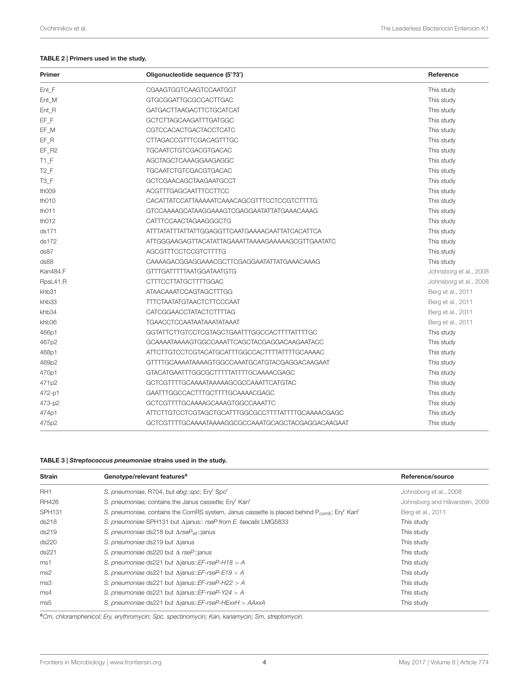#### <span id="page-3-0"></span>TABLE 2 | Primers used in the study.

| Primer           | Oligonucleotide sequence (5'?3')                   | Reference              |
|------------------|----------------------------------------------------|------------------------|
| Ent F            | <b>CGAAGTGGTCAAGTCCAATGGT</b>                      | This study             |
| Ent_M            | GTGCGGATTGCGCCACTTGAC                              | This study             |
| Ent_R            | <b>GATGACTTAAGACTTCTGCATCAT</b>                    | This study             |
| EF_F             | GCTCTTAGCAAGATTTGATGGC                             | This study             |
| EF_M             | CGTCCACACTGACTACCTCATC                             | This study             |
| EF R             | CTTAGACCGTTTCGACAGTTTGC                            | This study             |
| EF R2            | <b>TGCAATCTGTCGACGTGACAC</b>                       | This study             |
| $T1_F$           | AGCTAGCTCAAAGGAAGAGGC                              | This study             |
| T <sub>2</sub> F | <b>TGCAATCTGTCGACGTGACAC</b>                       | This study             |
| $T3_F$           | GCTCGAACAGCTAAGAATGCCT                             | This study             |
| th009            | ACGTTTGAGCAATTTCCTTCC                              | This study             |
| th010            | CACATTATCCATTAAAAATCAAACAGCGTTTCCTCCGTCTTTTG       | This study             |
| th011            | GTCCAAAAGCATAAGGAAAGTCGAGGAATATTATGAAACAAAG        | This study             |
| th012            | CATTTCCAACTAGAAGGGCTG                              | This study             |
| ds171            | ATTTATATTTATTATTGGAGGTTCAATGAAAACAATTATCACATTCA    | This study             |
| ds172            | ATTGGGAAGAGTTACATATTAGAAATTAAAAGAAAAAGCGTTGAATATC  | This study             |
| ds87             | AGCGTTTCCTCCGTCTTTTG                               | This study             |
| ds88             | CAAAAGACGGAGGAAACGCTTCGAGGAATATTATGAAACAAAG        | This study             |
| Kan484.F         | GTTTGATTTTTAATGGATAATGTG                           | Johnsborg et al., 2008 |
| RpsL41.R         | <b>CTTTCCTTATGCTTTTGGAC</b>                        | Johnsborg et al., 2008 |
| khb31            | ATAACAAATCCAGTAGCTTTGG                             | Berg et al., 2011      |
| khb33            | <b>TTTCTAATATGTAACTCTTCCCAAT</b>                   | Berg et al., 2011      |
| khb34            | CATCGGAACCTATACTCTTTTAG                            | Berg et al., 2011      |
| khb36            | <b>TGAACCTCCAATAATAAATATAAAT</b>                   | Berg et al., 2011      |
| 466p1            | GGTATTCTTGTCCTCGTAGCTGAATTTGGCCACTTTTATTTTGC       | This study             |
| 467p2            | GCAAAATAAAAGTGGCCAAATTCAGCTACGAGGACAAGAATACC       | This study             |
| 468p1            | ATTCTTGTCCTCGTACATGCATTTGGCCACTTTTATTTTGCAAAAC     | This study             |
| 469p2            | GTTTTGCAAAATAAAAGTGGCCAAATGCATGTACGAGGACAAGAAT     | This study             |
| 470p1            | GTACATGAATTTGGCGCTTTTTATTTTGCAAAACGAGC             | This study             |
| 471p2            | GCTCGTTTTGCAAAATAAAAAGCGCCAAATTCATGTAC             | This study             |
| 472-p1           | GAATTTGGCCACTTTGCTTTTGCAAAACGAGC                   | This study             |
| 473-p2           | GCTCGTTTTGCAAAAGCAAAGTGGCCAAATTC                   | This study             |
| 474p1            | ATTCTTGTCCTCGTAGCTGCATTTGGCGCCTTTTATTTTGCAAAACGAGC | This study             |
| 475p2            | GCTCGTTTTGCAAAATAAAAGGCGCCAAATGCAGCTACGAGGACAAGAAT | This study             |

#### <span id="page-3-1"></span>TABLE 3 | Streptococcus pneumoniae strains used in the study.

| <b>Strain</b>      | Genotype/relevant features <sup>a</sup>                                                                                         | Reference/source               |  |
|--------------------|---------------------------------------------------------------------------------------------------------------------------------|--------------------------------|--|
| RH <sub>1</sub>    | S. pneumoniae, R704, but ebg::spc; Ery <sup>r</sup> Spc <sup>r</sup>                                                            | Johnsborg et al., 2008         |  |
| <b>RH426</b>       | S. pneumoniae, contains the Janus cassette; Ery <sup>r</sup> Kan <sup>r</sup>                                                   | Johnsborg and Håvarstein, 2009 |  |
| SPH <sub>131</sub> | S. pneumoniae, contains the ComRS system, Janus cassette is placed behind $P_{\text{comX}}$ ; Ery <sup>r</sup> Kan <sup>r</sup> | Berg et al., 2011              |  |
| ds218              | S. pneumoniae SPH131 but Ajanus:: rseP from E. faecalis LMG5833                                                                 | This study                     |  |
| ds219              | S. pneumoniae ds218 but $\triangle rseP_{wt}$ : janus                                                                           | This study                     |  |
| ds220              | S. pneumoniae ds219 but Ajanus                                                                                                  | This study                     |  |
| ds221              | S. pneumoniae ds220 but $\Delta$ rseP:: janus                                                                                   | This study                     |  |
| ms1                | S. pneumoniae ds221 but $\Delta$ janus:: EF-rseP-H18 > A                                                                        | This study                     |  |
| ms2                | S. pneumoniae ds221 but $\Delta$ janus::EF-rseP-E19 > A                                                                         | This study                     |  |
| ms3                | S. pneumoniae ds221 but $\Delta$ janus:: EF-rseP-H22 > A                                                                        | This study                     |  |
| ms4                | S. pneumoniae ds221 but $\Delta$ janus:: EF-rseP-Y24 > A                                                                        | This study                     |  |
| ms5                | S. pneumoniae ds221 but $\Delta$ janus::EF-rseP-HExxH > AAxxA                                                                   | This study                     |  |

aCm, chloramphenicol; Ery, erythromycin; Spc, spectinomycin; Kan, kanamycin; Sm, streptomycin.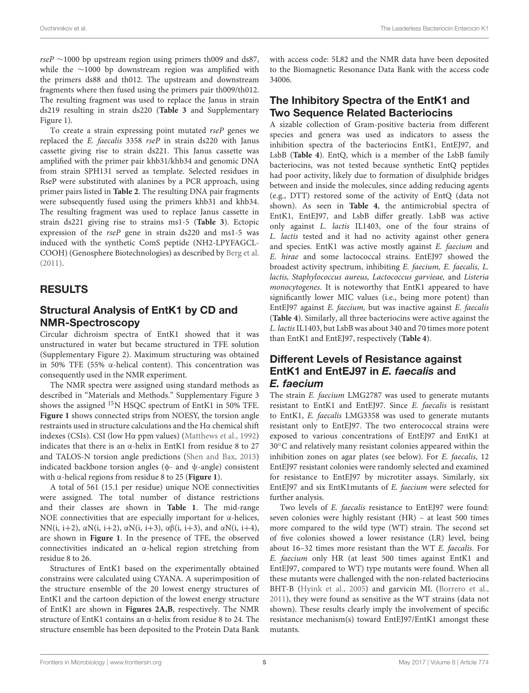rseP  $\sim$ 1000 bp upstream region using primers th009 and ds87, while the ∼1000 bp downstream region was amplified with the primers ds88 and th012. The upstream and downstream fragments where then fused using the primers pair th009/th012. The resulting fragment was used to replace the Janus in strain ds219 resulting in strain ds220 (**[Table 3](#page-3-1)** and Supplementary Figure 1).

To create a strain expressing point mutated rseP genes we replaced the E. faecalis 3358 rseP in strain ds220 with Janus cassette giving rise to strain ds221. This Janus cassette was amplified with the primer pair khb31/khb34 and genomic DNA from strain SPH131 served as template. Selected residues in RseP were substituted with alanines by a PCR approach, using primer pairs listed in **[Table 2](#page-3-0)**. The resulting DNA pair fragments were subsequently fused using the primers khb31 and khb34. The resulting fragment was used to replace Janus cassette in strain ds221 giving rise to strains ms1-5 (**[Table 3](#page-3-1)**). Ectopic expression of the rseP gene in strain ds220 and ms1-5 was induced with the synthetic ComS peptide (NH2-LPYFAGCL-COOH) (Genosphere Biotechnologies) as described by [Berg et al.](#page-9-11) [\(2011\)](#page-9-11).

#### RESULTS

### Structural Analysis of EntK1 by CD and NMR-Spectroscopy

Circular dichroism spectra of EntK1 showed that it was unstructured in water but became structured in TFE solution (Supplementary Figure 2). Maximum structuring was obtained in 50% TFE (55% α-helical content). This concentration was consequently used in the NMR experiment.

The NMR spectra were assigned using standard methods as described in "Materials and Methods." Supplementary Figure 3 shows the assigned <sup>15</sup>N HSQC spectrum of EntK1 in 50% TFE. **[Figure 1](#page-5-0)** shows connected strips from NOESY, the torsion angle restraints used in structure calculations and the Hα chemical shift indexes (CSIs). CSI (low Hα ppm values) [\(Matthews et al.,](#page-10-24) [1992\)](#page-10-24) indicates that there is an α-helix in EntK1 from residue 8 to 27 and TALOS-N torsion angle predictions [\(Shen and Bax,](#page-10-16) [2013\)](#page-10-16) indicated backbone torsion angles ( $\phi$ - and  $\psi$ -angle) consistent with α-helical regions from residue 8 to 25 (**[Figure 1](#page-5-0)**).

A total of 561 (15.1 per residue) unique NOE connectivities were assigned. The total number of distance restrictions and their classes are shown in **[Table 1](#page-2-0)**. The mid-range NOE connectivities that are especially important for  $\alpha$ -helices, NN(i, i+2), αN(i, i+2), αN(i, i+3), αβ(i, i+3), and αN(i, i+4), are shown in **[Figure 1](#page-5-0)**. In the presence of TFE, the observed connectivities indicated an α-helical region stretching from residue 8 to 26.

Structures of EntK1 based on the experimentally obtained constrains were calculated using CYANA. A superimposition of the structure ensemble of the 20 lowest energy structures of EntK1 and the cartoon depiction of the lowest energy structure of EntK1 are shown in **[Figures 2A,B](#page-5-1)**, respectively. The NMR structure of EntK1 contains an α-helix from residue 8 to 24. The structure ensemble has been deposited to the Protein Data Bank with access code: 5L82 and the NMR data have been deposited to the Biomagnetic Resonance Data Bank with the access code 34006.

### The Inhibitory Spectra of the EntK1 and Two Sequence Related Bacteriocins

A sizable collection of Gram-positive bacteria from different species and genera was used as indicators to assess the inhibition spectra of the bacteriocins EntK1, EntEJ97, and LsbB (**[Table 4](#page-6-0)**). EntQ, which is a member of the LsbB family bacteriocins, was not tested because synthetic EntQ peptides had poor activity, likely due to formation of disulphide bridges between and inside the molecules, since adding reducing agents (e.g., DTT) restored some of the activity of EntQ (data not shown). As seen in **[Table 4](#page-6-0)**, the antimicrobial spectra of EntK1, EntEJ97, and LsbB differ greatly. LsbB was active only against L. lactis IL1403, one of the four strains of L. lactis tested and it had no activity against other genera and species. EntK1 was active mostly against E. faecium and E. hirae and some lactococcal strains. EntEJ97 showed the broadest activity spectrum, inhibiting E. faecium, E. faecalis, L. lactis, Staphylococcus aureus, Lactococcus garvieae, and Listeria monocytogenes. It is noteworthy that EntK1 appeared to have significantly lower MIC values (i.e., being more potent) than EntEJ97 against E. faecium, but was inactive against E. faecalis (**[Table 4](#page-6-0)**). Similarly, all three bacteriocins were active against the L. lactis IL1403, but LsbB was about 340 and 70 times more potent than EntK1 and EntEJ97, respectively (**[Table 4](#page-6-0)**).

#### Different Levels of Resistance against EntK1 and EntEJ97 in E. faecalis and E. faecium

The strain E. faecium LMG2787 was used to generate mutants resistant to EntK1 and EntEJ97. Since E. faecalis is resistant to EntK1, E. faecalis LMG3358 was used to generate mutants resistant only to EntEJ97. The two enterococcal strains were exposed to various concentrations of EntEJ97 and EntK1 at 30◦C and relatively many resistant colonies appeared within the inhibition zones on agar plates (see below). For E. faecalis, 12 EntEJ97 resistant colonies were randomly selected and examined for resistance to EntEJ97 by microtiter assays. Similarly, six EntEJ97 and six EntK1mutants of E. faecium were selected for further analysis.

Two levels of E. faecalis resistance to EntEJ97 were found: seven colonies were highly resistant (HR) – at least 500 times more compared to the wild type (WT) strain. The second set of five colonies showed a lower resistance (LR) level, being about 16–32 times more resistant than the WT E. faecalis. For E. faecium only HR (at least 500 times against EntK1 and EntEJ97, compared to WT) type mutants were found. When all these mutants were challenged with the non-related bacteriocins BHT-B [\(Hyink et al.,](#page-10-25) [2005\)](#page-10-25) and garvicin ML [\(Borrero et al.,](#page-9-8) [2011\)](#page-9-8), they were found as sensitive as the WT strains (data not shown). These results clearly imply the involvement of specific resistance mechanism(s) toward EntEJ97/EntK1 amongst these mutants.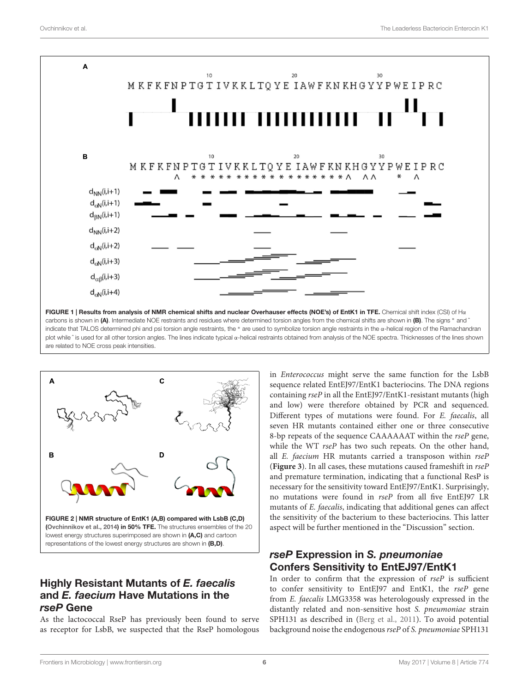

<span id="page-5-0"></span>

### <span id="page-5-1"></span>Highly Resistant Mutants of E. faecalis and E. faecium Have Mutations in the rseP Gene

As the lactococcal RseP has previously been found to serve as receptor for LsbB, we suspected that the RseP homologous in Enterococcus might serve the same function for the LsbB sequence related EntEJ97/EntK1 bacteriocins. The DNA regions containing rseP in all the EntEJ97/EntK1-resistant mutants (high and low) were therefore obtained by PCR and sequenced. Different types of mutations were found. For E. faecalis, all seven HR mutants contained either one or three consecutive 8-bp repeats of the sequence CAAAAAAT within the rseP gene, while the WT rseP has two such repeats. On the other hand, all E. faecium HR mutants carried a transposon within rseP (**[Figure 3](#page-6-1)**). In all cases, these mutations caused frameshift in rseP and premature termination, indicating that a functional ResP is necessary for the sensitivity toward EntEJ97/EntK1. Surprisingly, no mutations were found in rseP from all five EntEJ97 LR mutants of E. faecalis, indicating that additional genes can affect the sensitivity of the bacterium to these bacteriocins. This latter aspect will be further mentioned in the "Discussion" section.

# rseP Expression in S. pneumoniae Confers Sensitivity to EntEJ97/EntK1

In order to confirm that the expression of rseP is sufficient to confer sensitivity to EntEJ97 and EntK1, the rseP gene from E. faecalis LMG3358 was heterologously expressed in the distantly related and non-sensitive host S. pneumoniae strain SPH131 as described in [\(Berg et al.,](#page-9-11) [2011\)](#page-9-11). To avoid potential background noise the endogenous rseP of S. pneumoniae SPH131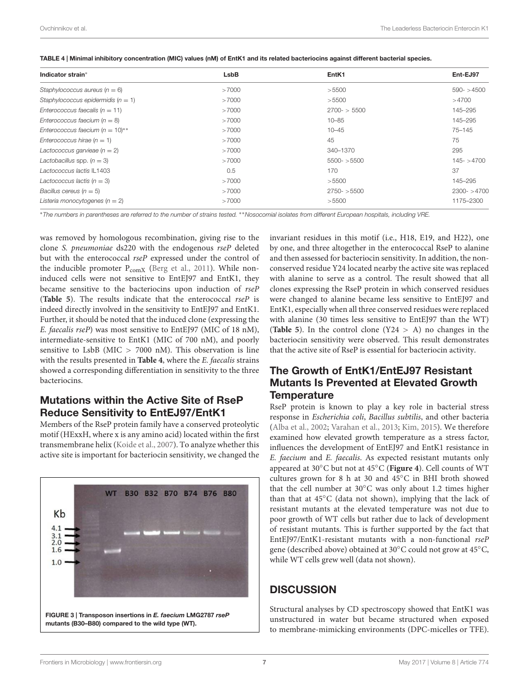<span id="page-6-0"></span>

|  |  | TABLE 4   Minimal inhibitory concentration (MIC) values (nM) of EntK1 and its related bacteriocins against different bacterial species. |  |
|--|--|-----------------------------------------------------------------------------------------------------------------------------------------|--|
|  |  |                                                                                                                                         |  |

| Ent-EJ97       |
|----------------|
|                |
| $590 - 54500$  |
| >4700          |
| 145-295        |
| 145-295        |
| 75-145         |
| 75             |
| 295            |
| $145 - 24700$  |
| 37             |
| 145-295        |
| $2300 - 54700$ |
| 1175-2300      |
|                |

<sup>∗</sup>The numbers in parentheses are referred to the number of strains tested. ∗∗Nosocomial isolates from different European hospitals, including VRE.

was removed by homologous recombination, giving rise to the clone S. pneumoniae ds220 with the endogenous rseP deleted but with the enterococcal rseP expressed under the control of the inducible promoter  $P_{\text{comX}}$  [\(Berg et al.,](#page-9-11) [2011\)](#page-9-11). While noninduced cells were not sensitive to EntEJ97 and EntK1, they became sensitive to the bacteriocins upon induction of rseP (**[Table 5](#page-7-0)**). The results indicate that the enterococcal rseP is indeed directly involved in the sensitivity to EntEJ97 and EntK1. Further, it should be noted that the induced clone (expressing the E. faecalis rseP) was most sensitive to EntEJ97 (MIC of 18 nM), intermediate-sensitive to EntK1 (MIC of 700 nM), and poorly sensitive to LsbB (MIC > 7000 nM). This observation is line with the results presented in **[Table 4](#page-6-0)**, where the E. faecalis strains showed a corresponding differentiation in sensitivity to the three bacteriocins.

### Mutations within the Active Site of RseP Reduce Sensitivity to EntEJ97/EntK1

Members of the RseP protein family have a conserved proteolytic motif (HExxH, where x is any amino acid) located within the first transmembrane helix [\(Koide et al.,](#page-10-26) [2007\)](#page-10-26). To analyze whether this active site is important for bacteriocin sensitivity, we changed the

<span id="page-6-1"></span>

invariant residues in this motif (i.e., H18, E19, and H22), one by one, and three altogether in the enterococcal RseP to alanine and then assessed for bacteriocin sensitivity. In addition, the nonconserved residue Y24 located nearby the active site was replaced with alanine to serve as a control. The result showed that all clones expressing the RseP protein in which conserved residues were changed to alanine became less sensitive to EntEJ97 and EntK1, especially when all three conserved residues were replaced with alanine (30 times less sensitive to EntEJ97 than the WT) (**[Table 5](#page-7-0)**). In the control clone  $(Y24 > A)$  no changes in the bacteriocin sensitivity were observed. This result demonstrates that the active site of RseP is essential for bacteriocin activity.

# The Growth of EntK1/EntEJ97 Resistant Mutants Is Prevented at Elevated Growth **Temperature**

RseP protein is known to play a key role in bacterial stress response in Escherichia coli, Bacillus subtilis, and other bacteria [\(Alba et al.,](#page-9-12) [2002;](#page-9-12) [Varahan et al.,](#page-10-10) [2013;](#page-10-10) [Kim,](#page-10-27) [2015\)](#page-10-27). We therefore examined how elevated growth temperature as a stress factor, influences the development of EntEJ97 and EntK1 resistance in E. faecium and E. faecalis. As expected resistant mutants only appeared at 30◦C but not at 45◦C (**[Figure 4](#page-7-1)**). Cell counts of WT cultures grown for 8 h at 30 and 45◦C in BHI broth showed that the cell number at 30◦C was only about 1.2 times higher than that at 45◦C (data not shown), implying that the lack of resistant mutants at the elevated temperature was not due to poor growth of WT cells but rather due to lack of development of resistant mutants. This is further supported by the fact that EntEJ97/EntK1-resistant mutants with a non-functional rseP gene (described above) obtained at 30◦C could not grow at 45◦C, while WT cells grew well (data not shown).

# **DISCUSSION**

Structural analyses by CD spectroscopy showed that EntK1 was unstructured in water but became structured when exposed to membrane-mimicking environments (DPC-micelles or TFE).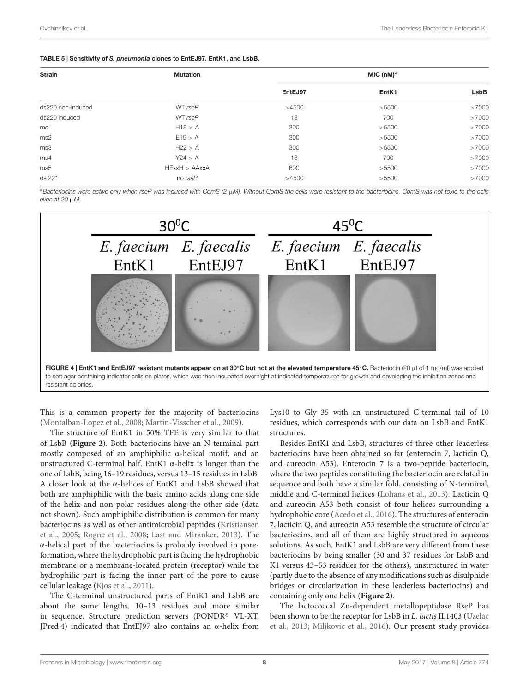#### <span id="page-7-0"></span>TABLE 5 | Sensitivity of S. pneumonia clones to EntEJ97, EntK1, and LsbB.

| <b>Strain</b>     | <b>Mutation</b> | $MIC (nM)*$ |       |       |
|-------------------|-----------------|-------------|-------|-------|
|                   |                 | EntEJ97     | EntK1 | LsbB  |
| ds220 non-induced | WT rseP         | >4500       | >5500 | >7000 |
| ds220 induced     | WT rseP         | 18          | 700   | >7000 |
| ms1               | H18 > A         | 300         | >5500 | >7000 |
| ms2               | E19 > A         | 300         | >5500 | >7000 |
| ms3               | H22 > A         | 300         | >5500 | >7000 |
| ms4               | Y24 > A         | 18          | 700   | >7000 |
| ms5               | HExxH > AAxxA   | 600         | >5500 | >7000 |
| ds 221            | no rseP         | >4500       | >5500 | >7000 |

<sup>∗</sup>Bacteriocins were active only when rseP was induced with ComS (2 µM). Without ComS the cells were resistant to the bacteriocins. ComS was not toxic to the cells even at 20 µM.



<span id="page-7-1"></span>This is a common property for the majority of bacteriocins [\(Montalban-Lopez et al.,](#page-10-28) [2008;](#page-10-28) [Martin-Visscher et al.,](#page-10-29) [2009\)](#page-10-29).

The structure of EntK1 in 50% TFE is very similar to that of LsbB (**[Figure 2](#page-5-1)**). Both bacteriocins have an N-terminal part mostly composed of an amphiphilic α-helical motif, and an unstructured C-terminal half. EntK1  $\alpha$ -helix is longer than the one of LsbB, being 16–19 residues, versus 13–15 residues in LsbB. A closer look at the α-helices of EntK1 and LsbB showed that both are amphiphilic with the basic amino acids along one side of the helix and non-polar residues along the other side (data not shown). Such amphiphilic distribution is common for many bacteriocins as well as other antimicrobial peptides [\(Kristiansen](#page-10-30) [et al.,](#page-10-30) [2005;](#page-10-30) [Rogne et al.,](#page-10-31) [2008;](#page-10-31) [Last and Miranker,](#page-10-32) [2013\)](#page-10-32). The α-helical part of the bacteriocins is probably involved in poreformation, where the hydrophobic part is facing the hydrophobic membrane or a membrane-located protein (receptor) while the hydrophilic part is facing the inner part of the pore to cause cellular leakage [\(Kjos et al.,](#page-10-3) [2011\)](#page-10-3).

The C-terminal unstructured parts of EntK1 and LsbB are about the same lengths, 10–13 residues and more similar in sequence. Structure prediction servers (PONDR® VL-XT, JPred 4) indicated that EntEJ97 also contains an α-helix from

Lys10 to Gly 35 with an unstructured C-terminal tail of 10 residues, which corresponds with our data on LsbB and EntK1 structures.

Besides EntK1 and LsbB, structures of three other leaderless bacteriocins have been obtained so far (enterocin 7, lacticin Q, and aureocin A53). Enterocin 7 is a two-peptide bacteriocin, where the two peptides constituting the bacteriocin are related in sequence and both have a similar fold, consisting of N-terminal, middle and C-terminal helices [\(Lohans et al.,](#page-10-33) [2013\)](#page-10-33). Lacticin Q and aureocin A53 both consist of four helices surrounding a hydrophobic core [\(Acedo et al.,](#page-9-13) [2016\)](#page-9-13). The structures of enterocin 7, lacticin Q, and aureocin A53 resemble the structure of circular bacteriocins, and all of them are highly structured in aqueous solutions. As such, EntK1 and LsbB are very different from these bacteriocins by being smaller (30 and 37 residues for LsbB and K1 versus 43–53 residues for the others), unstructured in water (partly due to the absence of any modifications such as disulphide bridges or circularization in these leaderless bacteriocins) and containing only one helix (**[Figure 2](#page-5-1)**).

The lactococcal Zn-dependent metallopeptidase RseP has been shown to be the receptor for LsbB in L. lactis IL1403 [\(Uzelac](#page-10-8) [et al.,](#page-10-8) [2013;](#page-10-8) [Miljkovic et al.,](#page-10-9) [2016\)](#page-10-9). Our present study provides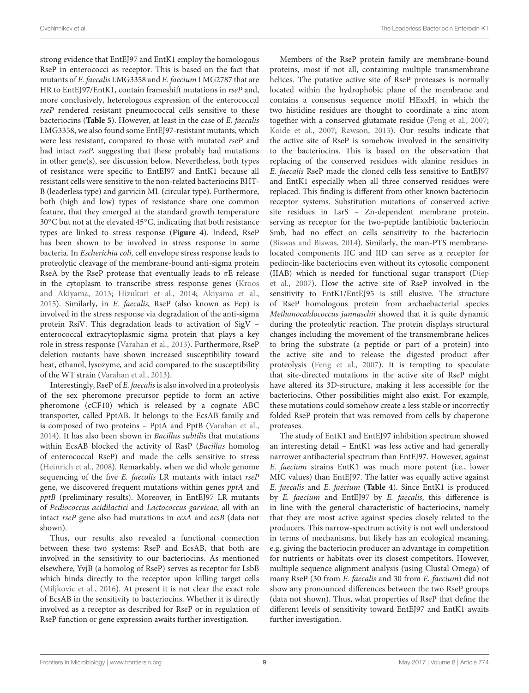strong evidence that EntEJ97 and EntK1 employ the homologous RseP in enterococci as receptor. This is based on the fact that mutants of E. faecalis LMG3358 and E. faecium LMG2787 that are HR to EntEJ97/EntK1, contain frameshift mutations in rseP and, more conclusively, heterologous expression of the enterococcal rseP rendered resistant pneumococcal cells sensitive to these bacteriocins (**[Table 5](#page-7-0)**). However, at least in the case of E. faecalis LMG3358, we also found some EntEJ97-resistant mutants, which were less resistant, compared to those with mutated rseP and had intact rseP, suggesting that these probably had mutations in other gene(s), see discussion below. Nevertheless, both types of resistance were specific to EntEJ97 and EntK1 because all resistant cells were sensitive to the non-related bacteriocins BHT-B (leaderless type) and garvicin ML (circular type). Furthermore, both (high and low) types of resistance share one common feature, that they emerged at the standard growth temperature 30◦C but not at the elevated 45◦C, indicating that both resistance types are linked to stress response (**[Figure 4](#page-7-1)**). Indeed, RseP has been shown to be involved in stress response in some bacteria. In Escherichia coli, cell envelope stress response leads to proteolytic cleavage of the membrane-bound anti-sigma protein RseA by the RseP protease that eventually leads to σE release in the cytoplasm to transcribe stress response genes [\(Kroos](#page-10-34) [and Akiyama,](#page-10-34) [2013;](#page-10-34) [Hizukuri et al.,](#page-10-35) [2014;](#page-10-35) [Akiyama et al.,](#page-9-14) [2015\)](#page-9-14). Similarly, in E. faecalis, RseP (also known as Eep) is involved in the stress response via degradation of the anti-sigma protein RsiV. This degradation leads to activation of SigV – enterococcal extracytoplasmic sigma protein that plays a key role in stress response [\(Varahan et al.,](#page-10-10) [2013\)](#page-10-10). Furthermore, RseP deletion mutants have shown increased susceptibility toward heat, ethanol, lysozyme, and acid compared to the susceptibility of the WT strain [\(Varahan et al.,](#page-10-10) [2013\)](#page-10-10).

Interestingly, RseP of E. faecalis is also involved in a proteolysis of the sex pheromone precursor peptide to form an active pheromone (cCF10) which is released by a cognate ABC transporter, called PptAB. It belongs to the EcsAB family and is composed of two proteins – PptA and PptB [\(Varahan et al.,](#page-10-36) [2014\)](#page-10-36). It has also been shown in Bacillus subtilis that mutations within EcsAB blocked the activity of RasP (Bacillus homolog of enterococcal RseP) and made the cells sensitive to stress [\(Heinrich et al.,](#page-10-37) [2008\)](#page-10-37). Remarkably, when we did whole genome sequencing of the five E. faecalis LR mutants with intact rseP gene, we discovered frequent mutations within genes pptA and pptB (preliminary results). Moreover, in EntEJ97 LR mutants of Pediococcus acidilactici and Lactococcus garvieae, all with an intact rseP gene also had mutations in ecsA and ecsB (data not shown).

Thus, our results also revealed a functional connection between these two systems: RseP and EcsAB, that both are involved in the sensitivity to our bacteriocins. As mentioned elsewhere, YvjB (a homolog of RseP) serves as receptor for LsbB which binds directly to the receptor upon killing target cells [\(Miljkovic et al.,](#page-10-9) [2016\)](#page-10-9). At present it is not clear the exact role of EcsAB in the sensitivity to bacteriocins. Whether it is directly involved as a receptor as described for RseP or in regulation of RseP function or gene expression awaits further investigation.

Members of the RseP protein family are membrane-bound proteins, most if not all, containing multiple transmembrane helices. The putative active site of RseP proteases is normally located within the hydrophobic plane of the membrane and contains a consensus sequence motif HExxH, in which the two histidine residues are thought to coordinate a zinc atom together with a conserved glutamate residue [\(Feng et al.,](#page-9-15) [2007;](#page-9-15) [Koide et al.,](#page-10-26) [2007;](#page-10-26) [Rawson,](#page-10-38) [2013\)](#page-10-38). Our results indicate that the active site of RseP is somehow involved in the sensitivity to the bacteriocins. This is based on the observation that replacing of the conserved residues with alanine residues in E. faecalis RseP made the cloned cells less sensitive to EntEJ97 and EntK1 especially when all three conserved residues were replaced. This finding is different from other known bacteriocin receptor systems. Substitution mutations of conserved active site residues in LsrS – Zn-dependent membrane protein, serving as receptor for the two-peptide lantibiotic bacteriocin Smb, had no effect on cells sensitivity to the bacteriocin [\(Biswas and Biswas,](#page-9-16) [2014\)](#page-9-16). Similarly, the man-PTS membranelocated components IIC and IID can serve as a receptor for pediocin-like bacteriocins even without its cytosolic component (IIAB) which is needed for functional sugar transport [\(Diep](#page-9-6) [et al.,](#page-9-6) [2007\)](#page-9-6). How the active site of RseP involved in the sensitivity to EntK1/EntEJ95 is still elusive. The structure of RseP homologous protein from archaebacterial species Methanocaldococcus jannaschii showed that it is quite dynamic during the proteolytic reaction. The protein displays structural changes including the movement of the transmembrane helices to bring the substrate (a peptide or part of a protein) into the active site and to release the digested product after proteolysis [\(Feng et al.,](#page-9-15) [2007\)](#page-9-15). It is tempting to speculate that site-directed mutations in the active site of RseP might have altered its 3D-structure, making it less accessible for the bacteriocins. Other possibilities might also exist. For example, these mutations could somehow create a less stable or incorrectly folded RseP protein that was removed from cells by chaperone proteases.

The study of EntK1 and EntEJ97 inhibition spectrum showed an interesting detail – EntK1 was less active and had generally narrower antibacterial spectrum than EntEJ97. However, against E. faecium strains EntK1 was much more potent (i.e., lower MIC values) than EntEJ97. The latter was equally active against E. faecalis and E. faecium (**[Table 4](#page-6-0)**). Since EntK1 is produced by E. faecium and EntEJ97 by E. faecalis, this difference is in line with the general characteristic of bacteriocins, namely that they are most active against species closely related to the producers. This narrow-spectrum activity is not well understood in terms of mechanisms, but likely has an ecological meaning, e.g, giving the bacteriocin producer an advantage in competition for nutrients or habitats over its closest competitors. However, multiple sequence alignment analysis (using Clustal Omega) of many RseP (30 from E. faecalis and 30 from E. faecium) did not show any pronounced differences between the two RseP groups (data not shown). Thus, what properties of RseP that define the different levels of sensitivity toward EntEJ97 and EntK1 awaits further investigation.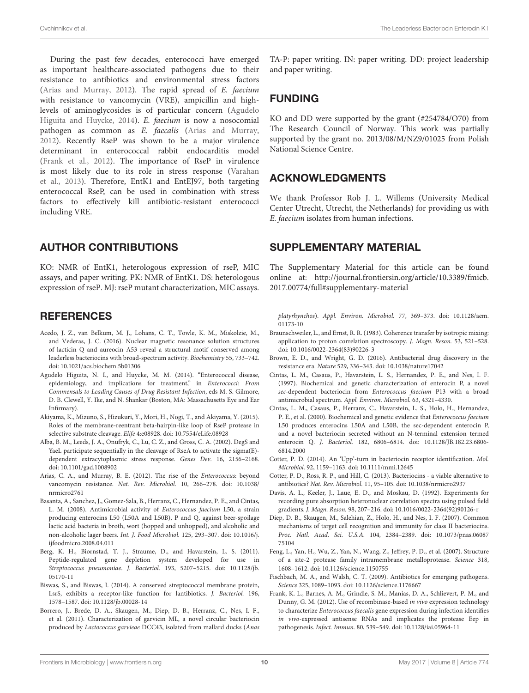During the past few decades, enterococci have emerged as important healthcare-associated pathogens due to their resistance to antibiotics and environmental stress factors [\(Arias and Murray,](#page-9-17) [2012\)](#page-9-17). The rapid spread of E. faecium with resistance to vancomycin (VRE), ampicillin and highlevels of aminoglycosides is of particular concern [\(Agudelo](#page-9-18) [Higuita and Huycke,](#page-9-18) [2014\)](#page-9-18). E. faecium is now a nosocomial pathogen as common as E. faecalis [\(Arias and Murray,](#page-9-17) [2012\)](#page-9-17). Recently RseP was shown to be a major virulence determinant in enterococcal rabbit endocarditis model [\(Frank et al.,](#page-9-19) [2012\)](#page-9-19). The importance of RseP in virulence is most likely due to its role in stress response [\(Varahan](#page-10-10) [et al.,](#page-10-10) [2013\)](#page-10-10). Therefore, EntK1 and EntEJ97, both targeting enterococcal RseP, can be used in combination with stress factors to effectively kill antibiotic-resistant enterococci including VRE.

#### AUTHOR CONTRIBUTIONS

KO: NMR of EntK1, heterologous expression of rseP, MIC assays, and paper writing. PK: NMR of EntK1. DS: heterologous expression of rseP. MJ: rseP mutant characterization, MIC assays.

#### **REFERENCES**

- <span id="page-9-13"></span>Acedo, J. Z., van Belkum, M. J., Lohans, C. T., Towle, K. M., Miskolzie, M., and Vederas, J. C. (2016). Nuclear magnetic resonance solution structures of lacticin Q and aureocin A53 reveal a structural motif conserved among leaderless bacteriocins with broad-spectrum activity. Biochemistry 55, 733–742. [doi: 10.1021/acs.biochem.5b01306](https://doi.org/10.1021/acs.biochem.5b01306)
- <span id="page-9-18"></span>Agudelo Higuita, N. I., and Huycke, M. M. (2014). "Enterococcal disease, epidemiology, and implications for treatment," in Enterococci: From Commensals to Leading Causes of Drug Resistant Infection, eds M. S. Gilmore, D. B. Clewell, Y. Ike, and N. Shankar (Boston, MA: Massachusetts Eye and Ear Infirmary).
- <span id="page-9-14"></span>Akiyama, K., Mizuno, S., Hizukuri, Y., Mori, H., Nogi, T., and Akiyama, Y. (2015). Roles of the membrane-reentrant beta-hairpin-like loop of RseP protease in selective substrate cleavage. Elife 4:e08928. [doi: 10.7554/eLife.08928](https://doi.org/10.7554/eLife.08928)
- <span id="page-9-12"></span>Alba, B. M., Leeds, J. A., Onufryk, C., Lu, C. Z., and Gross, C. A. (2002). DegS and YaeL participate sequentially in the cleavage of RseA to activate the sigma(E)dependent extracytoplasmic stress response. Genes Dev. 16, 2156–2168. [doi: 10.1101/gad.1008902](https://doi.org/10.1101/gad.1008902)
- <span id="page-9-17"></span>Arias, C. A., and Murray, B. E. (2012). The rise of the Enterococcus: beyond vancomycin resistance. Nat. Rev. Microbiol. 10, 266–278. [doi: 10.1038/](https://doi.org/10.1038/nrmicro2761) [nrmicro2761](https://doi.org/10.1038/nrmicro2761)
- <span id="page-9-5"></span>Basanta, A., Sanchez, J., Gomez-Sala, B., Herranz, C., Hernandez, P. E., and Cintas, L. M. (2008). Antimicrobial activity of Enterococcus faecium L50, a strain producing enterocins L50 (L50A and L50B), P and Q, against beer-spoilage lactic acid bacteria in broth, wort (hopped and unhopped), and alcoholic and non-alcoholic lager beers. Int. J. Food Microbiol. 125, 293–307. [doi: 10.1016/j.](https://doi.org/10.1016/j.ijfoodmicro.2008.04.011) [ijfoodmicro.2008.04.011](https://doi.org/10.1016/j.ijfoodmicro.2008.04.011)
- <span id="page-9-11"></span>Berg, K. H., Biornstad, T. J., Straume, D., and Havarstein, L. S. (2011). Peptide-regulated gene depletion system developed for use in Streptococcus pneumoniae. J. Bacteriol. 193, 5207–5215. [doi: 10.1128/jb.](https://doi.org/10.1128/jb.05170-11) [05170-11](https://doi.org/10.1128/jb.05170-11)
- <span id="page-9-16"></span>Biswas, S., and Biswas, I. (2014). A conserved streptococcal membrane protein, LsrS, exhibits a receptor-like function for lantibiotics. J. Bacteriol. 196, 1578–1587. [doi: 10.1128/jb.00028-14](https://doi.org/10.1128/jb.00028-14)
- <span id="page-9-8"></span>Borrero, J., Brede, D. A., Skaugen, M., Diep, D. B., Herranz, C., Nes, I. F., et al. (2011). Characterization of garvicin ML, a novel circular bacteriocin produced by Lactococcus garvieae DCC43, isolated from mallard ducks (Anas

TA-P: paper writing. IN: paper writing. DD: project leadership and paper writing.

#### FUNDING

KO and DD were supported by the grant (#254784/O70) from The Research Council of Norway. This work was partially supported by the grant no. 2013/08/M/NZ9/01025 from Polish National Science Centre.

### ACKNOWLEDGMENTS

We thank Professor Rob J. L. Willems (University Medical Center Utrecht, Utrecht, the Netherlands) for providing us with E. faecium isolates from human infections.

#### SUPPLEMENTARY MATERIAL

The Supplementary Material for this article can be found online at: [http://journal.frontiersin.org/article/10.3389/fmicb.](http://journal.frontiersin.org/article/10.3389/fmicb.2017.00774/full#supplementary-material) [2017.00774/full#supplementary-material](http://journal.frontiersin.org/article/10.3389/fmicb.2017.00774/full#supplementary-material)

platyrhynchos). Appl. Environ. Microbiol. 77, 369–373. [doi: 10.1128/aem.](https://doi.org/10.1128/aem.01173-10) [01173-10](https://doi.org/10.1128/aem.01173-10)

- <span id="page-9-9"></span>Braunschweiler, L., and Ernst, R. R. (1983). Coherence transfer by isotropic mixing: application to proton correlation spectroscopy. J. Magn. Reson. 53, 521–528. [doi: 10.1016/0022-2364\(83\)90226-3](https://doi.org/10.1016/0022-2364(83)90226-3)
- <span id="page-9-0"></span>Brown, E. D., and Wright, G. D. (2016). Antibacterial drug discovery in the resistance era. Nature 529, 336–343. [doi: 10.1038/nature17042](https://doi.org/10.1038/nature17042)
- <span id="page-9-3"></span>Cintas, L. M., Casaus, P., Havarstein, L. S., Hernandez, P. E., and Nes, I. F. (1997). Biochemical and genetic characterization of enterocin P, a novel sec-dependent bacteriocin from Enterococcus faecium P13 with a broad antimicrobial spectrum. Appl. Environ. Microbiol. 63, 4321–4330.
- <span id="page-9-4"></span>Cintas, L. M., Casaus, P., Herranz, C., Havarstein, L. S., Holo, H., Hernandez, P. E., et al. (2000). Biochemical and genetic evidence that Enterococcus faecium L50 produces enterocins L50A and L50B, the sec-dependent enterocin P, and a novel bacteriocin secreted without an N-terminal extension termed enterocin Q. J. Bacteriol. 182, 6806–6814. [doi: 10.1128/JB.182.23.6806-](https://doi.org/10.1128/JB.182.23.6806-6814.2000) [6814.2000](https://doi.org/10.1128/JB.182.23.6806-6814.2000)
- <span id="page-9-7"></span>Cotter, P. D. (2014). An 'Upp'-turn in bacteriocin receptor identification. Mol. Microbiol. 92, 1159–1163. [doi: 10.1111/mmi.12645](https://doi.org/10.1111/mmi.12645)
- <span id="page-9-2"></span>Cotter, P. D., Ross, R. P., and Hill, C. (2013). Bacteriocins - a viable alternative to antibiotics? Nat. Rev. Microbiol. 11, 95–105. [doi: 10.1038/nrmicro2937](https://doi.org/10.1038/nrmicro2937)
- <span id="page-9-10"></span>Davis, A. L., Keeler, J., Laue, E. D., and Moskau, D. (1992). Experiments for recording pure absorption heteronuclear correlation spectra using pulsed field gradients. J. Magn. Reson. 98, 207–216. [doi: 10.1016/0022-2364\(92\)90126-r](https://doi.org/10.1016/0022-2364(92)90126-r)
- <span id="page-9-6"></span>Diep, D. B., Skaugen, M., Salehian, Z., Holo, H., and Nes, I. F. (2007). Common mechanisms of target cell recognition and immunity for class II bacteriocins. Proc. Natl. Acad. Sci. U.S.A. 104, 2384–2389. [doi: 10.1073/pnas.06087](https://doi.org/10.1073/pnas.0608775104) [75104](https://doi.org/10.1073/pnas.0608775104)
- <span id="page-9-15"></span>Feng, L., Yan, H., Wu, Z., Yan, N., Wang, Z., Jeffrey, P. D., et al. (2007). Structure of a site-2 protease family intramembrane metalloprotease. Science 318, 1608–1612. [doi: 10.1126/science.1150755](https://doi.org/10.1126/science.1150755)
- <span id="page-9-1"></span>Fischbach, M. A., and Walsh, C. T. (2009). Antibiotics for emerging pathogens. Science 325, 1089–1093. [doi: 10.1126/science.1176667](https://doi.org/10.1126/science.1176667)
- <span id="page-9-19"></span>Frank, K. L., Barnes, A. M., Grindle, S. M., Manias, D. A., Schlievert, P. M., and Dunny, G. M. (2012). Use of recombinase-based in vivo expression technology to characterize Enterococcus faecalis gene expression during infection identifies in vivo-expressed antisense RNAs and implicates the protease Eep in pathogenesis. Infect. Immun. 80, 539–549. [doi: 10.1128/iai.05964-11](https://doi.org/10.1128/iai.05964-11)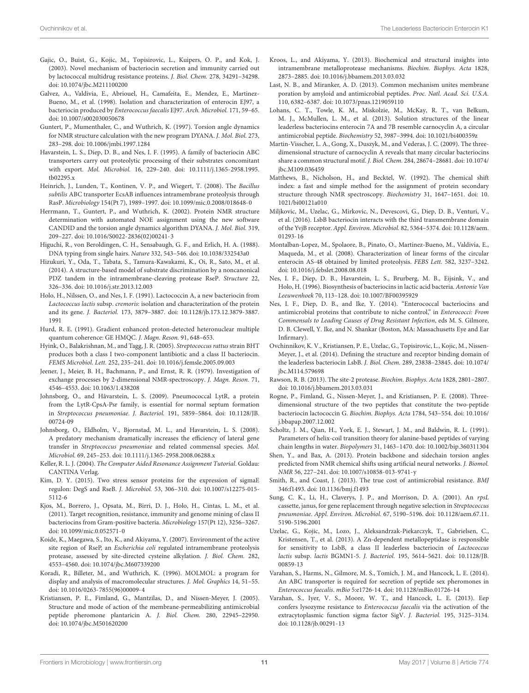- <span id="page-10-6"></span>Gajic, O., Buist, G., Kojic, M., Topisirovic, L., Kuipers, O. P., and Kok, J. (2003). Novel mechanism of bacteriocin secretion and immunity carried out by lactococcal multidrug resistance proteins. J. Biol. Chem. 278, 34291–34298. [doi: 10.1074/jbc.M211100200](https://doi.org/10.1074/jbc.M211100200)
- <span id="page-10-7"></span>Galvez, A., Valdivia, E., Abriouel, H., Camafeita, E., Mendez, E., Martinez-Bueno, M., et al. (1998). Isolation and characterization of enterocin EJ97, a bacteriocin produced by Enterococcus faecalis EJ97. Arch. Microbiol. 171, 59–65. [doi: 10.1007/s002030050678](https://doi.org/10.1007/s002030050678)
- <span id="page-10-17"></span>Guntert, P., Mumenthaler, C., and Wuthrich, K. (1997). Torsion angle dynamics for NMR structure calculation with the new program DYANA. J. Mol. Biol. 273, 283–298. [doi: 10.1006/jmbi.1997.1284](https://doi.org/10.1006/jmbi.1997.1284)
- <span id="page-10-4"></span>Havarstein, L. S., Diep, D. B., and Nes, I. F. (1995). A family of bacteriocin ABC transporters carry out proteolytic processing of their substrates concomitant with export. Mol. Microbiol. 16, 229–240. [doi: 10.1111/j.1365-2958.1995.](https://doi.org/10.1111/j.1365-2958.1995.tb02295.x) [tb02295.x](https://doi.org/10.1111/j.1365-2958.1995.tb02295.x)
- <span id="page-10-37"></span>Heinrich, J., Lunden, T., Kontinen, V. P., and Wiegert, T. (2008). The Bacillus subtilis ABC transporter EcsAB influences intramembrane proteolysis through RasP. Microbiology 154(Pt 7), 1989–1997. [doi: 10.1099/mic.0.2008/018648-0](https://doi.org/10.1099/mic.0.2008/018648-0)
- <span id="page-10-18"></span>Herrmann, T., Guntert, P., and Wuthrich, K. (2002). Protein NMR structure determination with automated NOE assignment using the new software CANDID and the torsion angle dynamics algorithm DYANA. J. Mol. Biol. 319, 209–227. [doi: 10.1016/S0022-2836\(02\)00241-3](https://doi.org/10.1016/S0022-2836(02)00241-3)
- <span id="page-10-20"></span>Higuchi, R., von Beroldingen, C. H., Sensabaugh, G. F., and Erlich, H. A. (1988). DNA typing from single hairs. Nature 332, 543–546. [doi: 10.1038/332543a0](https://doi.org/10.1038/332543a0)
- <span id="page-10-35"></span>Hizukuri, Y., Oda, T., Tabata, S., Tamura-Kawakami, K., Oi, R., Sato, M., et al. (2014). A structure-based model of substrate discrimination by a noncanonical PDZ tandem in the intramembrane-cleaving protease RseP. Structure 22, 326–336. [doi: 10.1016/j.str.2013.12.003](https://doi.org/10.1016/j.str.2013.12.003)
- <span id="page-10-11"></span>Holo, H., Nilssen, O., and Nes, I. F. (1991). Lactococcin A, a new bacteriocin from Lactococcus lactis subsp. cremoris: isolation and characterization of the protein and its gene. J. Bacteriol. 173, 3879–3887. [doi: 10.1128/jb.173.12.3879-3887.](https://doi.org/10.1128/jb.173.12.3879-3887.1991) [1991](https://doi.org/10.1128/jb.173.12.3879-3887.1991)
- <span id="page-10-14"></span>Hurd, R. E. (1991). Gradient enhanced proton-detected heteronuclear multiple quantum coherence: GE HMQC. J. Magn. Reson. 91, 648–653.
- <span id="page-10-25"></span>Hyink, O., Balakrishnan, M., and Tagg, J. R. (2005). Streptococcus rattus strain BHT produces both a class I two-component lantibiotic and a class II bacteriocin. FEMS Microbiol. Lett. 252, 235–241. [doi: 10.1016/j.femsle.2005.09.003](https://doi.org/10.1016/j.femsle.2005.09.003)
- <span id="page-10-13"></span>Jeener, J., Meier, B. H., Bachmann, P., and Ernst, R. R. (1979). Investigation of exchange processes by 2-dimensional NMR-spectroscopy. J. Magn. Reson. 71, 4546–4553. [doi: 10.1063/1.438208](https://doi.org/10.1063/1.438208)
- <span id="page-10-23"></span>Johnsborg, O., and Håvarstein, L. S. (2009). Pneumococcal LytR, a protein from the LytR-CpsA-Psr family, is essential for normal septum formation in Streptococcus pneumoniae. J. Bacteriol. 191, 5859–5864. [doi: 10.1128/JB.](https://doi.org/10.1128/JB.00724-09) [00724-09](https://doi.org/10.1128/JB.00724-09)
- <span id="page-10-22"></span>Johnsborg, O., Eldholm, V., Bjornstad, M. L., and Havarstein, L. S. (2008). A predatory mechanism dramatically increases the efficiency of lateral gene transfer in Streptococcus pneumoniae and related commensal species. Mol. Microbiol. 69, 245–253. [doi: 10.1111/j.1365-2958.2008.06288.x](https://doi.org/10.1111/j.1365-2958.2008.06288.x)
- <span id="page-10-15"></span>Keller, R. L. J. (2004). The Computer Aided Resonance Assignment Tutorial. Goldau: CANTINA Verlag.
- <span id="page-10-27"></span>Kim, D. Y. (2015). Two stress sensor proteins for the expression of sigmaE regulon: DegS and RseB. J. Microbiol. 53, 306–310. [doi: 10.1007/s12275-015-](https://doi.org/10.1007/s12275-015-5112-6) [5112-6](https://doi.org/10.1007/s12275-015-5112-6)
- <span id="page-10-3"></span>Kjos, M., Borrero, J., Opsata, M., Birri, D. J., Holo, H., Cintas, L. M., et al. (2011). Target recognition, resistance, immunity and genome mining of class II bacteriocins from Gram-positive bacteria. Microbiology 157(Pt 12), 3256–3267. [doi: 10.1099/mic.0.052571-0](https://doi.org/10.1099/mic.0.052571-0)
- <span id="page-10-26"></span>Koide, K., Maegawa, S., Ito, K., and Akiyama, Y. (2007). Environment of the active site region of RseP, an Escherichia coli regulated intramembrane proteolysis protease, assessed by site-directed cysteine alkylation. J. Biol. Chem. 282, 4553–4560. [doi: 10.1074/jbc.M607339200](https://doi.org/10.1074/jbc.M607339200)
- <span id="page-10-19"></span>Koradi, R., Billeter, M., and Wuthrich, K. (1996). MOLMOL: a program for display and analysis of macromolecular structures. J. Mol. Graphics 14, 51–55. [doi: 10.1016/0263-7855\(96\)00009-4](https://doi.org/10.1016/0263-7855(96)00009-4)
- <span id="page-10-30"></span>Kristiansen, P. E., Fimland, G., Mantzilas, D., and Nissen-Meyer, J. (2005). Structure and mode of action of the membrane-permeabilizing antimicrobial peptide pheromone plantaricin A. J. Biol. Chem. 280, 22945–22950. [doi: 10.1074/jbc.M501620200](https://doi.org/10.1074/jbc.M501620200)
- <span id="page-10-34"></span>Kroos, L., and Akiyama, Y. (2013). Biochemical and structural insights into intramembrane metalloprotease mechanisms. Biochim. Biophys. Acta 1828, 2873–2885. [doi: 10.1016/j.bbamem.2013.03.032](https://doi.org/10.1016/j.bbamem.2013.03.032)
- <span id="page-10-32"></span>Last, N. B., and Miranker, A. D. (2013). Common mechanism unites membrane poration by amyloid and antimicrobial peptides. Proc. Natl. Acad. Sci. U.S.A. 110, 6382–6387. [doi: 10.1073/pnas.1219059110](https://doi.org/10.1073/pnas.1219059110)
- <span id="page-10-33"></span>Lohans, C. T., Towle, K. M., Miskolzie, M., McKay, R. T., van Belkum, M. J., McMullen, L. M., et al. (2013). Solution structures of the linear leaderless bacteriocins enterocin 7A and 7B resemble carnocyclin A, a circular antimicrobial peptide. Biochemistry 52, 3987–3994. [doi: 10.1021/bi400359z](https://doi.org/10.1021/bi400359z)
- <span id="page-10-29"></span>Martin-Visscher, L. A., Gong, X., Duszyk, M., and Vederas, J. C. (2009). The threedimensional structure of carnocyclin A reveals that many circular bacteriocins share a common structural motif. J. Biol. Chem. 284, 28674–28681. [doi: 10.1074/](https://doi.org/10.1074/jbc.M109.036459) [jbc.M109.036459](https://doi.org/10.1074/jbc.M109.036459)
- <span id="page-10-24"></span>Matthews, B., Nicholson, H., and Becktel, W. (1992). The chemical shift index: a fast and simple method for the assignment of protein secondary structure through NMR spectroscopy. Biochemistry 31, 1647–1651. [doi: 10.](https://doi.org/10.1021/bi00121a010) [1021/bi00121a010](https://doi.org/10.1021/bi00121a010)
- <span id="page-10-9"></span>Miljkovic, M., Uzelac, G., Mirkovic, N., Devescovi, G., Diep, D. B., Venturi, V., et al. (2016). LsbB bacteriocin interacts with the third transmembrane domain of the YvjB receptor. Appl. Environ. Microbiol. 82, 5364–5374. [doi: 10.1128/aem.](https://doi.org/10.1128/aem.01293-16) [01293-16](https://doi.org/10.1128/aem.01293-16)
- <span id="page-10-28"></span>Montalban-Lopez, M., Spolaore, B., Pinato, O., Martinez-Bueno, M., Valdivia, E., Maqueda, M., et al. (2008). Characterization of linear forms of the circular enterocin AS-48 obtained by limited proteolysis. FEBS Lett. 582, 3237–3242. [doi: 10.1016/j.febslet.2008.08.018](https://doi.org/10.1016/j.febslet.2008.08.018)
- <span id="page-10-2"></span>Nes, I. F., Diep, D. B., Havarstein, L. S., Brurberg, M. B., Eijsink, V., and Holo, H. (1996). Biosynthesis of bacteriocins in lactic acid bacteria. Antonie Van Leeuwenhoek 70, 113–128. [doi: 10.1007/BF00395929](https://doi.org/10.1007/BF00395929)
- <span id="page-10-1"></span>Nes, I. F., Diep, D. B., and Ike, Y. (2014). "Enterococcal bacteriocins and antimicrobial proteins that contribute to niche control," in Enterococci: From Commensals to Leading Causes of Drug Resistant Infection, eds M. S. Gilmore, D. B. Clewell, Y. Ike, and N. Shankar (Boston, MA: Massachusetts Eye and Ear Infirmary).
- <span id="page-10-5"></span>Ovchinnikov, K. V., Kristiansen, P. E., Uzelac, G., Topisirovic, L., Kojic, M., Nissen-Meyer, J., et al. (2014). Defining the structure and receptor binding domain of the leaderless bacteriocin LsbB. J. Biol. Chem. 289, 23838–23845. [doi: 10.1074/](https://doi.org/10.1074/jbc.M114.579698) [jbc.M114.579698](https://doi.org/10.1074/jbc.M114.579698)
- <span id="page-10-38"></span>Rawson, R. B. (2013). The site-2 protease. Biochim. Biophys. Acta 1828, 2801–2807. [doi: 10.1016/j.bbamem.2013.03.031](https://doi.org/10.1016/j.bbamem.2013.03.031)
- <span id="page-10-31"></span>Rogne, P., Fimland, G., Nissen-Meyer, J., and Kristiansen, P. E. (2008). Threedimensional structure of the two peptides that constitute the two-peptide bacteriocin lactococcin G. Biochim. Biophys. Acta 1784, 543–554. [doi: 10.1016/](https://doi.org/10.1016/j.bbapap.2007.12.002) [j.bbapap.2007.12.002](https://doi.org/10.1016/j.bbapap.2007.12.002)
- <span id="page-10-12"></span>Scholtz, J. M., Qian, H., York, E. J., Stewart, J. M., and Baldwin, R. L. (1991). Parameters of helix-coil transition theory for alanine-based peptides of varying chain lengths in water. Biopolymers 31, 1463–1470. [doi: 10.1002/bip.360311304](https://doi.org/10.1002/bip.360311304)
- <span id="page-10-16"></span>Shen, Y., and Bax, A. (2013). Protein backbone and sidechain torsion angles predicted from NMR chemical shifts using artificial neural networks. J. Biomol. NMR 56, 227–241. [doi: 10.1007/s10858-013-9741-y](https://doi.org/10.1007/s10858-013-9741-y)
- <span id="page-10-0"></span>Smith, R., and Coast, J. (2013). The true cost of antimicrobial resistance. BMJ 346:f1493. [doi: 10.1136/bmj.f1493](https://doi.org/10.1136/bmj.f1493)
- <span id="page-10-21"></span>Sung, C. K., Li, H., Claverys, J. P., and Morrison, D. A. (2001). An rpsL cassette, janus, for gene replacement through negative selection in Streptococcus pneumoniae. Appl. Environ. Microbiol. 67, 5190–5196. [doi: 10.1128/aem.67.11.](https://doi.org/10.1128/aem.67.11.5190-5196.2001) [5190-5196.2001](https://doi.org/10.1128/aem.67.11.5190-5196.2001)
- <span id="page-10-8"></span>Uzelac, G., Kojic, M., Lozo, J., Aleksandrzak-Piekarczyk, T., Gabrielsen, C., Kristensen, T., et al. (2013). A Zn-dependent metallopeptidase is responsible for sensitivity to LsbB, a class II leaderless bacteriocin of Lactococcus lactis subsp. lactis BGMN1-5. J. Bacteriol. 195, 5614–5621. [doi: 10.1128/JB.](https://doi.org/10.1128/JB.00859-13) [00859-13](https://doi.org/10.1128/JB.00859-13)
- <span id="page-10-36"></span>Varahan, S., Harms, N., Gilmore, M. S., Tomich, J. M., and Hancock, L. E. (2014). An ABC transporter is required for secretion of peptide sex pheromones in Enterococcus faecalis. mBio 5:e1726-14. [doi: 10.1128/mBio.01726-14](https://doi.org/10.1128/mBio.01726-14)
- <span id="page-10-10"></span>Varahan, S., Iyer, V. S., Moore, W. T., and Hancock, L. E. (2013). Eep confers lysozyme resistance to Enterococcus faecalis via the activation of the extracytoplasmic function sigma factor SigV. J. Bacteriol. 195, 3125–3134. [doi: 10.1128/jb.00291-13](https://doi.org/10.1128/jb.00291-13)